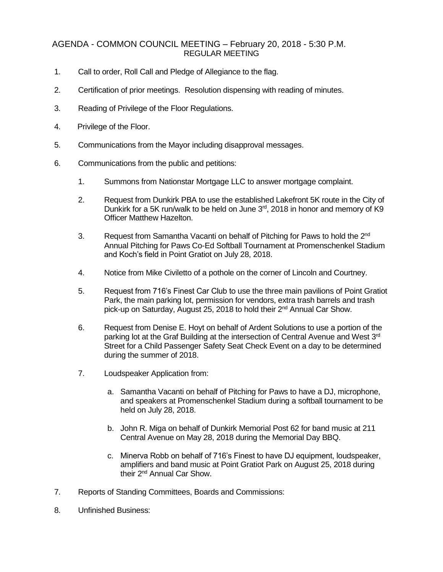## AGENDA - COMMON COUNCIL MEETING – February 20, 2018 - 5:30 P.M. REGULAR MEETING

- 1. Call to order, Roll Call and Pledge of Allegiance to the flag.
- 2. Certification of prior meetings. Resolution dispensing with reading of minutes.
- 3. Reading of Privilege of the Floor Regulations.
- 4. Privilege of the Floor.
- 5. Communications from the Mayor including disapproval messages.
- 6. Communications from the public and petitions:
	- 1. Summons from Nationstar Mortgage LLC to answer mortgage complaint.
	- 2. Request from Dunkirk PBA to use the established Lakefront 5K route in the City of Dunkirk for a 5K run/walk to be held on June  $3<sup>rd</sup>$ , 2018 in honor and memory of K9 Officer Matthew Hazelton.
	- 3. Request from Samantha Vacanti on behalf of Pitching for Paws to hold the 2<sup>nd</sup> Annual Pitching for Paws Co-Ed Softball Tournament at Promenschenkel Stadium and Koch's field in Point Gratiot on July 28, 2018.
	- 4. Notice from Mike Civiletto of a pothole on the corner of Lincoln and Courtney.
	- 5. Request from 716's Finest Car Club to use the three main pavilions of Point Gratiot Park, the main parking lot, permission for vendors, extra trash barrels and trash pick-up on Saturday, August 25, 2018 to hold their 2nd Annual Car Show.
	- 6. Request from Denise E. Hoyt on behalf of Ardent Solutions to use a portion of the parking lot at the Graf Building at the intersection of Central Avenue and West 3<sup>rd</sup> Street for a Child Passenger Safety Seat Check Event on a day to be determined during the summer of 2018.
	- 7. Loudspeaker Application from:
		- a. Samantha Vacanti on behalf of Pitching for Paws to have a DJ, microphone, and speakers at Promenschenkel Stadium during a softball tournament to be held on July 28, 2018.
		- b. John R. Miga on behalf of Dunkirk Memorial Post 62 for band music at 211 Central Avenue on May 28, 2018 during the Memorial Day BBQ.
		- c. Minerva Robb on behalf of 716's Finest to have DJ equipment, loudspeaker, amplifiers and band music at Point Gratiot Park on August 25, 2018 during their 2nd Annual Car Show.
- 7. Reports of Standing Committees, Boards and Commissions:
- 8. Unfinished Business: